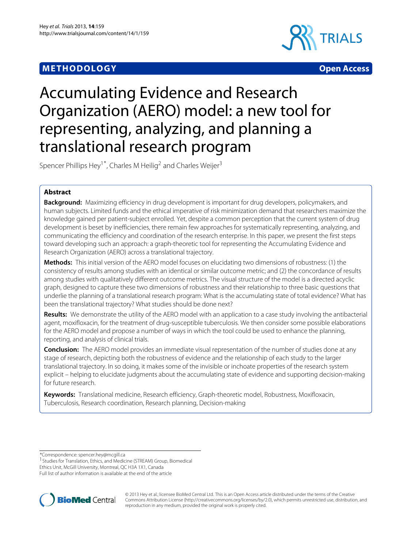# **METHODOLOGY Open Access**





# Accumulating Evidence and Research Organization (AERO) model: a new tool for representing, analyzing, and planning a translational research program

Spencer Phillips Hey<sup>1\*</sup>, Charles M Heilig<sup>2</sup> and Charles Weijer<sup>3</sup>

# **Abstract**

**Background:** Maximizing efficiency in drug development is important for drug developers, policymakers, and human subjects. Limited funds and the ethical imperative of risk minimization demand that researchers maximize the knowledge gained per patient-subject enrolled. Yet, despite a common perception that the current system of drug development is beset by inefficiencies, there remain few approaches for systematically representing, analyzing, and communicating the efficiency and coordination of the research enterprise. In this paper, we present the first steps toward developing such an approach: a graph-theoretic tool for representing the Accumulating Evidence and Research Organization (AERO) across a translational trajectory.

**Methods:** This initial version of the AERO model focuses on elucidating two dimensions of robustness: (1) the consistency of results among studies with an identical or similar outcome metric; and (2) the concordance of results among studies with qualitatively different outcome metrics. The visual structure of the model is a directed acyclic graph, designed to capture these two dimensions of robustness and their relationship to three basic questions that underlie the planning of a translational research program: What is the accumulating state of total evidence? What has been the translational trajectory? What studies should be done next?

**Results:** We demonstrate the utility of the AERO model with an application to a case study involving the antibacterial agent, moxifloxacin, for the treatment of drug-susceptible tuberculosis. We then consider some possible elaborations for the AERO model and propose a number of ways in which the tool could be used to enhance the planning, reporting, and analysis of clinical trials.

**Conclusion:** The AERO model provides an immediate visual representation of the number of studies done at any stage of research, depicting both the robustness of evidence and the relationship of each study to the larger translational trajectory. In so doing, it makes some of the invisible or inchoate properties of the research system explicit – helping to elucidate judgments about the accumulating state of evidence and supporting decision-making for future research.

**Keywords:** Translational medicine, Research efficiency, Graph-theoretic model, Robustness, Moxifloxacin, Tuberculosis, Research coordination, Research planning, Decision-making

\*Correspondence: spencer.hey@mcgill.ca

<sup>1</sup> Studies for Translation, Ethics, and Medicine (STREAM) Group, Biomedical Ethics Unit, McGill University, Montreal, QC H3A 1X1, Canada

Full list of author information is available at the end of the article



© 2013 Hey et al.; licensee BioMed Central Ltd. This is an Open Access article distributed under the terms of the Creative Commons Attribution License (http://creativecommons.org/licenses/by/2.0), which permits unrestricted use, distribution, and reproduction in any medium, provided the original work is properly cited.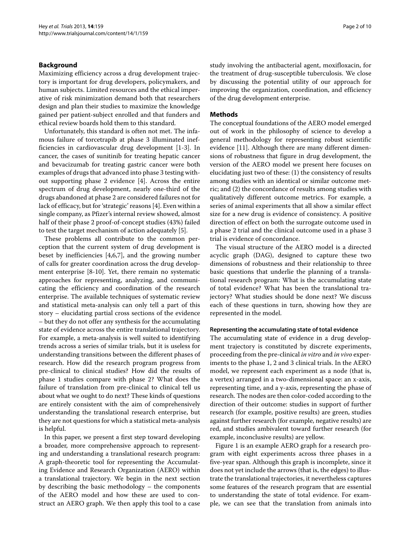# **Background**

Maximizing efficiency across a drug development trajectory is important for drug developers, policymakers, and human subjects. Limited resources and the ethical imperative of risk minimization demand both that researchers design and plan their studies to maximize the knowledge gained per patient-subject enrolled and that funders and ethical review boards hold them to this standard.

Unfortunately, this standard is often not met. The infamous failure of torcetrapib at phase 3 illuminated inefficiencies in cardiovascular drug development [\[1-](#page-8-0)[3\]](#page-8-1). In cancer, the cases of sunitinib for treating hepatic cancer and bevacizumab for treating gastric cancer were both examples of drugs that advanced into phase 3 testing without supporting phase 2 evidence [\[4\]](#page-8-2). Across the entire spectrum of drug development, nearly one-third of the drugs abandoned at phase 2 are considered failures not for lack of efficacy, but for 'strategic' reasons [\[4\]](#page-8-2). Even within a single company, as Pfizer's internal review showed, almost half of their phase 2 proof-of-concept studies (43%) failed to test the target mechanism of action adequately [\[5\]](#page-8-3).

These problems all contribute to the common perception that the current system of drug development is beset by inefficiencies [\[4,](#page-8-2)[6,](#page-8-4)[7\]](#page-8-5), and the growing number of calls for greater coordination across the drug development enterprise [\[8-](#page-8-6)[10\]](#page-8-7). Yet, there remain no systematic approaches for representing, analyzing, and communicating the efficiency and coordination of the research enterprise. The available techniques of systematic review and statistical meta-analysis can only tell a part of this story – elucidating partial cross sections of the evidence – but they do not offer any synthesis for the accumulating state of evidence across the entire translational trajectory. For example, a meta-analysis is well suited to identifying trends across a series of similar trials, but it is useless for understanding transitions between the different phases of research. How did the research program progress from pre-clinical to clinical studies? How did the results of phase 1 studies compare with phase 2? What does the failure of translation from pre-clinical to clinical tell us about what we ought to do next? These kinds of questions are entirely consistent with the aim of comprehensively understanding the translational research enterprise, but they are not questions for which a statistical meta-analysis is helpful.

In this paper, we present a first step toward developing a broader, more comprehensive approach to representing and understanding a translational research program: A graph-theoretic tool for representing the Accumulating Evidence and Research Organization (AERO) within a translational trajectory. We begin in the next section by describing the basic methodology – the components of the AERO model and how these are used to construct an AERO graph. We then apply this tool to a case

study involving the antibacterial agent, moxifloxacin, for the treatment of drug-susceptible tuberculosis. We close by discussing the potential utility of our approach for improving the organization, coordination, and efficiency of the drug development enterprise.

## **Methods**

The conceptual foundations of the AERO model emerged out of work in the philosophy of science to develop a general methodology for representing robust scientific evidence [\[11\]](#page-8-8). Although there are many different dimensions of robustness that figure in drug development, the version of the AERO model we present here focuses on elucidating just two of these: (1) the consistency of results among studies with an identical or similar outcome metric; and (2) the concordance of results among studies with qualitatively different outcome metrics. For example, a series of animal experiments that all show a similar effect size for a new drug is evidence of consistency. A positive direction of effect on both the surrogate outcome used in a phase 2 trial and the clinical outcome used in a phase 3 trial is evidence of concordance.

The visual structure of the AERO model is a directed acyclic graph (DAG), designed to capture these two dimensions of robustness and their relationship to three basic questions that underlie the planning of a translational research program: What is the accumulating state of total evidence? What has been the translational trajectory? What studies should be done next? We discuss each of these questions in turn, showing how they are represented in the model.

## **Representing the accumulating state of total evidence**

The accumulating state of evidence in a drug development trajectory is constituted by discrete experiments, proceeding from the pre-clinical *in vitro* and *in vivo* experiments to the phase 1, 2 and 3 clinical trials. In the AERO model, we represent each experiment as a node (that is, a vertex) arranged in a two-dimensional space: an x-axis, representing time, and a y-axis, representing the phase of research. The nodes are then color-coded according to the direction of their outcome: studies in support of further research (for example, positive results) are green, studies against further research (for example, negative results) are red, and studies ambivalent toward further research (for example, inconclusive results) are yellow.

Figure [1](#page-2-0) is an example AERO graph for a research program with eight experiments across three phases in a five-year span. Although this graph is incomplete, since it does not yet include the arrows (that is, the edges) to illustrate the translational trajectories, it nevertheless captures some features of the research program that are essential to understanding the state of total evidence. For example, we can see that the translation from animals into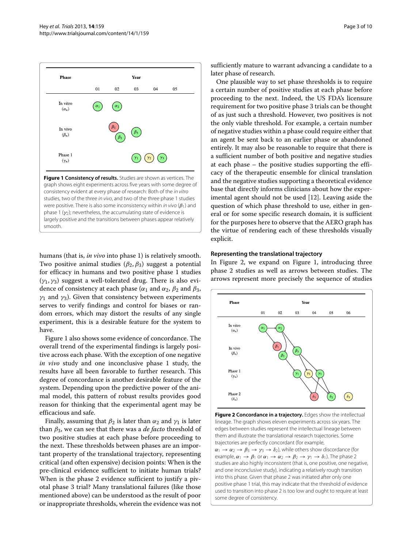

<span id="page-2-0"></span>humans (that is, *in vivo* into phase 1) is relatively smooth. Two positive animal studies (*β*2, *β*3) suggest a potential for efficacy in humans and two positive phase 1 studies (*γ*1, *γ*3) suggest a well-tolerated drug. There is also evidence of consistency at each phase ( $\alpha_1$  and  $\alpha_2$ ,  $\beta_2$  and  $\beta_3$ , *γ*<sup>1</sup> and *γ*3). Given that consistency between experiments serves to verify findings and control for biases or random errors, which may distort the results of any single experiment, this is a desirable feature for the system to have.

Figure [1](#page-2-0) also shows some evidence of concordance. The overall trend of the experimental findings is largely positive across each phase. With the exception of one negative *in vivo* study and one inconclusive phase 1 study, the results have all been favorable to further research. This degree of concordance is another desirable feature of the system. Depending upon the predictive power of the animal model, this pattern of robust results provides good reason for thinking that the experimental agent may be efficacious and safe.

Finally, assuming that  $\beta_2$  is later than  $\alpha_2$  and  $\gamma_1$  is later than *β*3, we can see that there was a *de facto* threshold of two positive studies at each phase before proceeding to the next. These thresholds between phases are an important property of the translational trajectory, representing critical (and often expensive) decision points: When is the pre-clinical evidence sufficient to initiate human trials? When is the phase 2 evidence sufficient to justify a pivotal phase 3 trial? Many translational failures (like those mentioned above) can be understood as the result of poor or inappropriate thresholds, wherein the evidence was not sufficiently mature to warrant advancing a candidate to a later phase of research.

One plausible way to set phase thresholds is to require a certain number of positive studies at each phase before proceeding to the next. Indeed, the US FDA's licensure requirement for two positive phase 3 trials can be thought of as just such a threshold. However, two positives is not the only viable threshold. For example, a certain number of negative studies within a phase could require either that an agent be sent back to an earlier phase or abandoned entirely. It may also be reasonable to require that there is a sufficient number of both positive and negative studies at each phase – the positive studies supporting the efficacy of the therapeutic ensemble for clinical translation and the negative studies supporting a theoretical evidence base that directly informs clinicians about how the experimental agent should not be used [\[12\]](#page-8-9). Leaving aside the question of which phase threshold to use, either in general or for some specific research domain, it is sufficient for the purposes here to observe that the AERO graph has the virtue of rendering each of these thresholds visually explicit.

## **Representing the translational trajectory**

In Figure [2,](#page-2-1) we expand on Figure [1,](#page-2-0) introducing three phase 2 studies as well as arrows between studies. The arrows represent more precisely the sequence of studies



<span id="page-2-1"></span>**Figure 2 Concordance in a trajectory.** Edges show the intellectual lineage. The graph shows eleven experiments across six years. The edges between studies represent the intellectual lineage between them and illustrate the translational research trajectories. Some trajectories are perfectly concordant (for example,  $\alpha_1 \rightarrow \alpha_2 \rightarrow \beta_3 \rightarrow \gamma_3 \rightarrow \delta_2$ ), while others show discordance (for

example,  $\alpha_1 \rightarrow \beta_1$  or  $\alpha_1 \rightarrow \alpha_2 \rightarrow \beta_2 \rightarrow \gamma_1 \rightarrow \delta_1$ ). The phase 2 studies are also highly inconsistent (that is, one positive, one negative, and one inconclusive study), indicating a relatively rough transition into this phase. Given that phase 2 was initiated after only one positive phase 1 trial, this may indicate that the threshold of evidence used to transition into phase 2 is too low and ought to require at least some degree of consistency.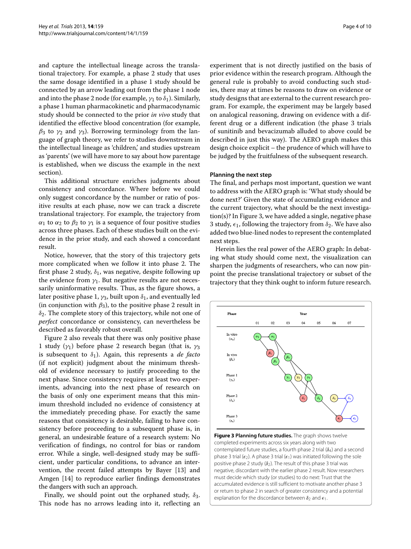and capture the intellectual lineage across the translational trajectory. For example, a phase 2 study that uses the same dosage identified in a phase 1 study should be connected by an arrow leading out from the phase 1 node and into the phase 2 node (for example,  $\gamma_1$  to  $\delta_1$ ). Similarly, a phase 1 human pharmacokinetic and pharmacodynamic study should be connected to the prior *in vivo* study that identified the effective blood concentration (for example,  $β_3$  to  $γ_2$  and  $γ_3$ ). Borrowing terminology from the language of graph theory, we refer to studies downstream in the intellectual lineage as 'children,' and studies upstream as 'parents' (we will have more to say about how parentage is established, when we discuss the example in the next section).

This additional structure enriches judgments about consistency and concordance. Where before we could only suggest concordance by the number or ratio of positive results at each phase, now we can track a discrete translational trajectory. For example, the trajectory from *α*<sub>1</sub> to *α*<sub>2</sub> to *β*<sub>2</sub> to *γ*<sub>1</sub> is a sequence of four positive studies across three phases. Each of these studies built on the evidence in the prior study, and each showed a concordant result.

Notice, however, that the story of this trajectory gets more complicated when we follow it into phase 2. The first phase 2 study,  $\delta_1$ , was negative, despite following up the evidence from  $\gamma_1$ . But negative results are not necessarily uninformative results. Thus, as the figure shows, a later positive phase 1, *γ*3, built upon *δ*1, and eventually led (in conjunction with  $\beta_3$ ), to the positive phase 2 result in *δ*2. The complete story of this trajectory, while not one of *perfect* concordance or consistency, can nevertheless be described as favorably robust overall.

Figure [2](#page-2-1) also reveals that there was only positive phase 1 study (*γ*1) before phase 2 research began (that is, *γ*<sup>3</sup> is subsequent to  $\delta_1$ ). Again, this represents a *de facto* (if not explicit) judgment about the minimum threshold of evidence necessary to justify proceeding to the next phase. Since consistency requires at least two experiments, advancing into the next phase of research on the basis of only one experiment means that this minimum threshold included no evidence of consistency at the immediately preceding phase. For exactly the same reasons that consistency is desirable, failing to have consistency before proceeding to a subsequent phase is, in general, an undesirable feature of a research system: No verification of findings, no control for bias or random error. While a single, well-designed study may be sufficient, under particular conditions, to advance an intervention, the recent failed attempts by Bayer [\[13\]](#page-8-10) and Amgen [\[14\]](#page-8-11) to reproduce earlier findings demonstrates the dangers with such an approach.

Finally, we should point out the orphaned study, *δ*3. This node has no arrows leading into it, reflecting an experiment that is not directly justified on the basis of prior evidence within the research program. Although the general rule is probably to avoid conducting such studies, there may at times be reasons to draw on evidence or study designs that are external to the current research program. For example, the experiment may be largely based on analogical reasoning, drawing on evidence with a different drug or a different indication (the phase 3 trials of sunitinib and bevacizumab alluded to above could be described in just this way). The AERO graph makes this design choice explicit – the prudence of which will have to be judged by the fruitfulness of the subsequent research.

#### **Planning the next step**

The final, and perhaps most important, question we want to address with the AERO graph is: 'What study should be done next?' Given the state of accumulating evidence and the current trajectory, what should be the next investigation(s)? In Figure [3,](#page-3-0) we have added a single, negative phase 3 study,  $\epsilon_1$ , following the trajectory from  $\delta_2$ . We have also added two blue-lined nodes to represent the contemplated next steps.

Herein lies the real power of the AERO graph: In debating what study should come next, the visualization can sharpen the judgments of researchers, who can now pinpoint the precise translational trajectory or subset of the trajectory that they think ought to inform future research.



<span id="page-3-0"></span>**Figure 3 Planning future studies.** The graph shows twelve completed experiments across six years along with two contemplated future studies, a fourth phase 2 trial (*δ*4) and a second phase 3 trial ( $\epsilon_2$ ). A phase 3 trial ( $\epsilon_1$ ) was initiated following the sole positive phase 2 study  $(\delta_2)$ . The result of this phase 3 trial was negative, discordant with the earlier phase 2 result. Now researchers must decide which study (or studies) to do next: Trust that the accumulated evidence is still sufficient to motivate another phase 3 or return to phase 2 in search of greater consistency and a potential explanation for the discordance between  $\delta_2$  and  $\epsilon_1$ .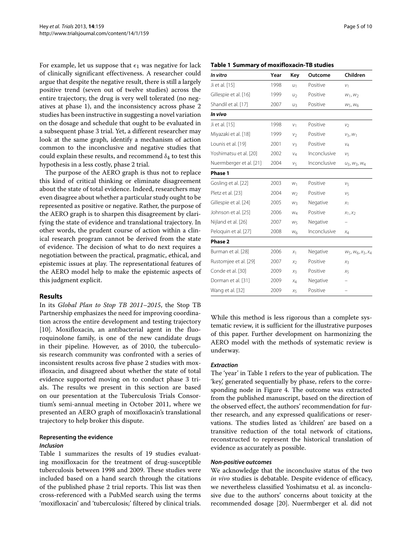For example, let us suppose that  $\epsilon_1$  was negative for lack of clinically significant effectiveness. A researcher could argue that despite the negative result, there is still a largely positive trend (seven out of twelve studies) across the entire trajectory, the drug is very well tolerated (no negatives at phase 1), and the inconsistency across phase 2 studies has been instructive in suggesting a novel variation on the dosage and schedule that ought to be evaluated in a subsequent phase 3 trial. Yet, a different researcher may look at the same graph, identify a mechanism of action common to the inconclusive and negative studies that could explain these results, and recommend  $\delta_4$  to test this hypothesis in a less costly, phase 2 trial.

The purpose of the AERO graph is thus not to replace this kind of critical thinking or eliminate disagreement about the state of total evidence. Indeed, researchers may even disagree about whether a particular study ought to be represented as positive or negative. Rather, the purpose of the AERO graph is to sharpen this disagreement by clarifying the state of evidence and translational trajectory. In other words, the prudent course of action within a clinical research program cannot be derived from the state of evidence. The decision of what to do next requires a negotiation between the practical, pragmatic, ethical, and epistemic issues at play. The representational features of the AERO model help to make the epistemic aspects of this judgment explicit.

# **Results**

In its *Global Plan to Stop TB 2011–2015*, the Stop TB Partnership emphasizes the need for improving coordination across the entire development and testing trajectory [\[10\]](#page-8-7). Moxifloxacin, an antibacterial agent in the fluoroquinolone family, is one of the new candidate drugs in their pipeline. However, as of 2010, the tuberculosis research community was confronted with a series of inconsistent results across five phase 2 studies with moxifloxacin, and disagreed about whether the state of total evidence supported moving on to conduct phase 3 trials. The results we present in this section are based on our presentation at the Tuberculosis Trials Consortium's semi-annual meeting in October 2011, where we presented an AERO graph of moxifloxacin's translational trajectory to help broker this dispute.

#### **Representing the evidence**

#### *Inclusion*

Table [1](#page-4-0) summarizes the results of 19 studies evaluating moxifloxacin for the treatment of drug-susceptible tuberculosis between 1998 and 2009. These studies were included based on a hand search through the citations of the published phase 2 trial reports. This list was then cross-referenced with a PubMed search using the terms 'moxifloxacin' and 'tuberculosis;' filtered by clinical trials.

#### **Table 1 Summary of moxifloxacin-TB studies**

<span id="page-4-0"></span>

| In vitro                | Year | Key            | Outcome      | Children                        |
|-------------------------|------|----------------|--------------|---------------------------------|
| Ji et al. [15]          | 1998 | $U_1$          | Positive     | V <sub>1</sub>                  |
| Gillespie et al. [16]   | 1999 | U <sub>2</sub> | Positive     | $W_1, W_2$                      |
| Shandil et al. [17]     | 2007 | $U_3$          | Positive     | W <sub>5</sub> , W <sub>6</sub> |
| In vivo                 |      |                |              |                                 |
| Ji et al. [15]          | 1998 | V <sub>1</sub> | Positive     | V <sub>2</sub>                  |
| Miyazaki et al. [18]    | 1999 | V <sub>2</sub> | Positive     | $V_3, W_1$                      |
| Lounis et al. [19]      | 2001 | V3             | Positive     | $V_4$                           |
| Yoshimatsu et al. [20]  | 2002 | $V_4$          | Inconclusive | $V_{\varsigma}$                 |
| Nuermberger et al. [21] | 2004 | V5             | Inconclusive | $U_3, W_3, W_4$                 |
| Phase 1                 |      |                |              |                                 |
| Gosling et al. [22]     | 2003 | $W_1$          | Positive     | $V_{\varsigma}$                 |
| Pletz et al. [23]       | 2004 | W              | Positive     | V5                              |
| Gillespie et al. [24]   | 2005 | W3             | Negative     | X <sub>1</sub>                  |
| Johnson et al. [25]     | 2006 | W <sub>4</sub> | Positive     | $X_1, X_2$                      |
| Nijland et al. [26]     | 2007 | $W_5$          | Negative     |                                 |
| Peloquin et al. [27]    | 2008 | W <sub>6</sub> | Inconclusive | $X_4$                           |
| Phase 2                 |      |                |              |                                 |
| Burman et al. [28]      | 2006 | $X_1$          | Negative     | $W_5, W_6, X_3, X_4$            |
| Rustomjee et al. [29]   | 2007 | X <sub>2</sub> | Positive     | $X_3$                           |
| Conde et al. [30]       | 2009 | $X_3$          | Positive     | $X_{5}$                         |
| Dorman et al. [31]      | 2009 | $X_4$          | Negative     |                                 |
| Wang et al. [32]        | 2009 | $X_{5}$        | Positive     |                                 |

While this method is less rigorous than a complete systematic review, it is sufficient for the illustrative purposes of this paper. Further development on harmonizing the AERO model with the methods of systematic review is underway.

#### *Extraction*

The 'year' in Table [1](#page-4-0) refers to the year of publication. The 'key', generated sequentially by phase, refers to the corresponding node in Figure [4.](#page-5-0) The outcome was extracted from the published manuscript, based on the direction of the observed effect, the authors' recommendation for further research, and any expressed qualifications or reservations. The studies listed as 'children' are based on a transitive reduction of the total network of citations, reconstructed to represent the historical translation of evidence as accurately as possible.

#### *Non-positive outcomes*

We acknowledge that the inconclusive status of the two *in vivo* studies is debatable. Despite evidence of efficacy, we nevertheless classified Yoshimatsu et al. as inconclusive due to the authors' concerns about toxicity at the recommended dosage [\[20\]](#page-8-17). Nuermberger et al. did not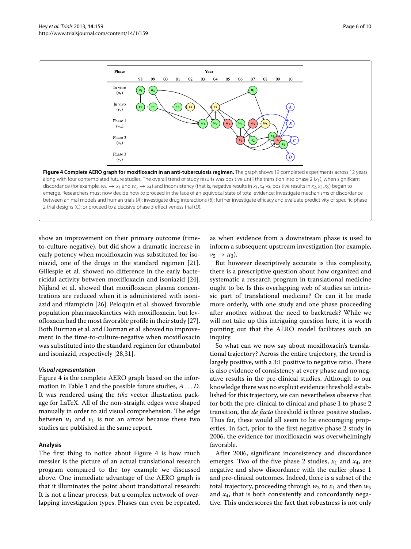

<span id="page-5-0"></span>show an improvement on their primary outcome (timeto-culture-negative), but did show a dramatic increase in early potency when moxifloxacin was substituted for isoniazid, one of the drugs in the standard regimen [\[21\]](#page-8-18). Gillespie et al. showed no difference in the early bactericidal activity between moxifloxacin and isoniazid [\[24\]](#page-8-21). Nijland et al. showed that moxifloxacin plasma concentrations are reduced when it is administered with isoniazid and rifampicin [\[26\]](#page-9-1). Peloquin et al. showed favorable population pharmacokinetics with moxifloxacin, but levofloxacin had the most favorable profile in their study [\[27\]](#page-9-2). Both Burman et al. and Dorman et al. showed no improvement in the time-to-culture-negative when moxifloxacin was substituted into the standard regimen for ethambutol and isoniazid, respectively [\[28](#page-9-3)[,31\]](#page-9-6).

#### *Visual representation*

Figure [4](#page-5-0) is the complete AERO graph based on the information in Table [1](#page-4-0) and the possible future studies, *A... D*. It was rendered using the *tikz* vector illustration package for LaTeX. All of the non-straight edges were shaped manually in order to aid visual comprehension. The edge between  $u_1$  and  $v_1$  is not an arrow because these two studies are published in the same report.

#### **Analysis**

The first thing to notice about Figure [4](#page-5-0) is how much messier is the picture of an actual translational research program compared to the toy example we discussed above. One immediate advantage of the AERO graph is that it illuminates the point about translational research: It is not a linear process, but a complex network of overlapping investigation types. Phases can even be repeated, as when evidence from a downstream phase is used to inform a subsequent upstream investigation (for example,  $v_5 \rightarrow u_3$ ).

But however descriptively accurate is this complexity, there is a prescriptive question about how organized and systematic a research program in translational medicine ought to be. Is this overlapping web of studies an intrinsic part of translational medicine? Or can it be made more orderly, with one study and one phase proceeding after another without the need to backtrack? While we will not take up this intriguing question here, it is worth pointing out that the AERO model facilitates such an inquiry.

So what can we now say about moxifloxacin's translational trajectory? Across the entire trajectory, the trend is largely positive, with a 3:1 positive to negative ratio. There is also evidence of consistency at every phase and no negative results in the pre-clinical studies. Although to our knowledge there was no explicit evidence threshold established for this trajectory, we can nevertheless observe that for both the pre-clinical to clinical and phase 1 to phase 2 transition, the *de facto* threshold is three positive studies. Thus far, these would all seem to be encouraging properties. In fact, prior to the first negative phase 2 study in 2006, the evidence for moxifloxacin was overwhelmingly favorable.

After 2006, significant inconsistency and discordance emerges. Two of the five phase 2 studies,  $x_1$  and  $x_4$ , are negative and show discordance with the earlier phase 1 and pre-clinical outcomes. Indeed, there is a subset of the total trajectory, proceeding through  $w_3$  to  $x_1$  and then  $w_5$ and *x*4, that is both consistently and concordantly negative. This underscores the fact that robustness is not only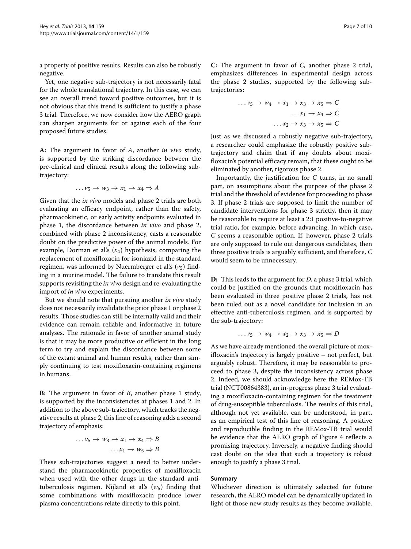a property of positive results. Results can also be robustly negative.

Yet, one negative sub-trajectory is not necessarily fatal for the whole translational trajectory. In this case, we can see an overall trend toward positive outcomes, but it is not obvious that this trend is sufficient to justify a phase 3 trial. Therefore, we now consider how the AERO graph can sharpen arguments for or against each of the four proposed future studies.

**A:** The argument in favor of *A*, another *in vivo* study, is supported by the striking discordance between the pre-clinical and clinical results along the following subtrajectory:

$$
\ldots \nu_5 \to \nu_3 \to x_1 \to x_4 \Rightarrow A
$$

Given that the *in vivo* models and phase 2 trials are both evaluating an efficacy endpoint, rather than the safety, pharmacokinetic, or early activity endpoints evaluated in phase 1, the discordance between *in vivo* and phase 2, combined with phase 2 inconsistency, casts a reasonable doubt on the predictive power of the animal models. For example, Dorman et al's (x<sub>4</sub>) hypothesis, comparing the replacement of moxifloxacin for isoniazid in the standard regimen, was informed by Nuermberger et al's  $(\nu_5)$  finding in a murine model. The failure to translate this result supports revisiting the *in vivo* design and re-evaluating the import of *in vivo* experiments.

But we should note that pursuing another *in vivo* study does not necessarily invalidate the prior phase 1 or phase 2 results. Those studies can still be internally valid and their evidence can remain reliable and informative in future analyses. The rationale in favor of another animal study is that it may be more productive or efficient in the long term to try and explain the discordance between some of the extant animal and human results, rather than simply continuing to test moxifloxacin-containing regimens in humans.

**B:** The argument in favor of *B*, another phase 1 study, is supported by the inconsistencies at phases 1 and 2. In addition to the above sub-trajectory, which tracks the negative results at phase 2, this line of reasoning adds a second trajectory of emphasis:

$$
\dots v_5 \to w_3 \to x_1 \to x_4 \Rightarrow B
$$
  

$$
\dots x_1 \to w_5 \Rightarrow B
$$

These sub-trajectories suggest a need to better understand the pharmacokinetic properties of moxifloxacin when used with the other drugs in the standard antituberculosis regimen. Nijland et al's  $(w_5)$  finding that some combinations with moxifloxacin produce lower plasma concentrations relate directly to this point.

**C:** The argument in favor of *C*, another phase 2 trial, emphasizes differences in experimental design across the phase 2 studies, supported by the following subtrajectories:

$$
\dots \nu_5 \to \nu_4 \to x_1 \to x_3 \to x_5 \Rightarrow C
$$
  

$$
\dots x_1 \to x_4 \Rightarrow C
$$
  

$$
\dots x_2 \to x_3 \to x_5 \Rightarrow C
$$

Just as we discussed a robustly negative sub-trajectory, a researcher could emphasize the robustly positive subtrajectory and claim that if any doubts about moxifloxacin's potential efficacy remain, that these ought to be eliminated by another, rigorous phase 2.

Importantly, the justification for *C* turns, in no small part, on assumptions about the purpose of the phase 2 trial and the threshold of evidence for proceeding to phase 3. If phase 2 trials are supposed to limit the number of candidate interventions for phase 3 strictly, then it may be reasonable to require at least a 2:1 positive-to-negative trial ratio, for example, before advancing. In which case, *C* seems a reasonable option. If, however, phase 2 trials are only supposed to rule out dangerous candidates, then three positive trials is arguably sufficient, and therefore, *C* would seem to be unnecessary.

**D:** This leads to the argument for *D*, a phase 3 trial, which could be justified on the grounds that moxifloxacin has been evaluated in three positive phase 2 trials, has not been ruled out as a novel candidate for inclusion in an effective anti-tuberculosis regimen, and is supported by the sub-trajectory:

$$
\ldots \nu_5 \to \nu_4 \to x_2 \to x_3 \to x_5 \Rightarrow D
$$

As we have already mentioned, the overall picture of moxifloxacin's trajectory is largely positive – not perfect, but arguably robust. Therefore, it may be reasonable to proceed to phase 3, despite the inconsistency across phase 2. Indeed, we should acknowledge here the REMox-TB trial (NCT00864383), an in-progress phase 3 trial evaluating a moxifloxacin-containing regimen for the treatment of drug-susceptible tuberculosis. The results of this trial, although not yet available, can be understood, in part, as an empirical test of this line of reasoning. A positive and reproducible finding in the REMox-TB trial would be evidence that the AERO graph of Figure [4](#page-5-0) reflects a promising trajectory. Inversely, a negative finding should cast doubt on the idea that such a trajectory is robust enough to justify a phase 3 trial.

#### **Summary**

Whichever direction is ultimately selected for future research, the AERO model can be dynamically updated in light of those new study results as they become available.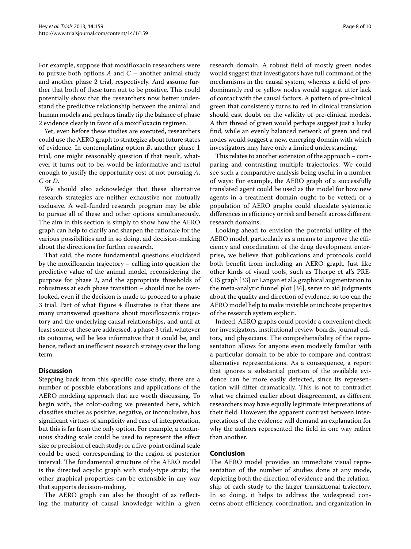For example, suppose that moxifloxacin researchers were to pursue both options *A* and *C* – another animal study and another phase 2 trial, respectively. And assume further that both of these turn out to be positive. This could potentially show that the researchers now better understand the predictive relationship between the animal and human models and perhaps finally tip the balance of phase 2 evidence clearly in favor of a moxifloxacin regimen.

Yet, even before these studies are executed, researchers could use the AERO graph to strategize about future states of evidence. In contemplating option *B*, another phase 1 trial, one might reasonably question if that result, whatever it turns out to be, would be informative and useful enough to justify the opportunity cost of not pursuing *A*, *C* or *D*.

We should also acknowledge that these alternative research strategies are neither exhaustive nor mutually exclusive. A well-funded research program may be able to pursue all of these and other options simultaneously. The aim in this section is simply to show how the AERO graph can help to clarify and sharpen the rationale for the various possibilities and in so doing, aid decision-making about the directions for further research.

That said, the more fundamental questions elucidated by the moxifloxacin trajectory – calling into question the predictive value of the animal model, reconsidering the purpose for phase 2, and the appropriate thresholds of robustness at each phase transition – should not be overlooked, even if the decision is made to proceed to a phase 3 trial. Part of what Figure [4](#page-5-0) illustrates is that there are many unanswered questions about moxifloxacin's trajectory and the underlying causal relationships, and until at least some of these are addressed, a phase 3 trial, whatever its outcome, will be less informative that it could be, and hence, reflect an inefficient research strategy over the long term.

# **Discussion**

Stepping back from this specific case study, there are a number of possible elaborations and applications of the AERO modeling approach that are worth discussing. To begin with, the color-coding we presented here, which classifies studies as positive, negative, or inconclusive, has significant virtues of simplicity and ease of interpretation, but this is far from the only option. For example, a continuous shading scale could be used to represent the effect size or precision of each study; or a five-point ordinal scale could be used, corresponding to the region of posterior interval. The fundamental structure of the AERO model is the directed acyclic graph with study-type strata; the other graphical properties can be extensible in any way that supports decision-making.

The AERO graph can also be thought of as reflecting the maturity of causal knowledge within a given research domain. A robust field of mostly green nodes would suggest that investigators have full command of the mechanisms in the causal system, whereas a field of predominantly red or yellow nodes would suggest utter lack of contact with the causal factors. A pattern of pre-clinical green that consistently turns to red in clinical translation should cast doubt on the validity of pre-clinical models. A thin thread of green would perhaps suggest just a lucky find, while an evenly balanced network of green and red nodes would suggest a new, emerging domain with which investigators may have only a limited understanding.

This relates to another extension of the approach – comparing and contrasting multiple trajectories. We could see such a comparative analysis being useful in a number of ways: For example, the AERO graph of a successfully translated agent could be used as the model for how new agents in a treatment domain ought to be vetted; or a population of AERO graphs could elucidate systematic differences in efficiency or risk and benefit across different research domains.

Looking ahead to envision the potential utility of the AERO model, particularly as a means to improve the efficiency and coordination of the drug development enterprise, we believe that publications and protocols could both benefit from including an AERO graph. Just like other kinds of visual tools, such as Thorpe et al.'s PRE-CIS graph [\[33\]](#page-9-8) or Langan et al.'s graphical augmentation to the meta-analytic funnel plot [\[34\]](#page-9-9), serve to aid judgments about the quality and direction of evidence, so too can the AERO model help to make invisible or inchoate properties of the research system explicit.

Indeed, AERO graphs could provide a convenient check for investigators, institutional review boards, journal editors, and physicians. The comprehensibility of the representation allows for anyone even modestly familiar with a particular domain to be able to compare and contrast alternative representations. As a consequence, a report that ignores a substantial portion of the available evidence can be more easily detected, since its representation will differ dramatically. This is not to contradict what we claimed earlier about disagreement, as different researchers may have equally legitimate interpretations of their field. However, the apparent contrast between interpretations of the evidence will demand an explanation for why the authors represented the field in one way rather than another.

# **Conclusion**

The AERO model provides an immediate visual representation of the number of studies done at any mode, depicting both the direction of evidence and the relationship of each study to the larger translational trajectory. In so doing, it helps to address the widespread concerns about efficiency, coordination, and organization in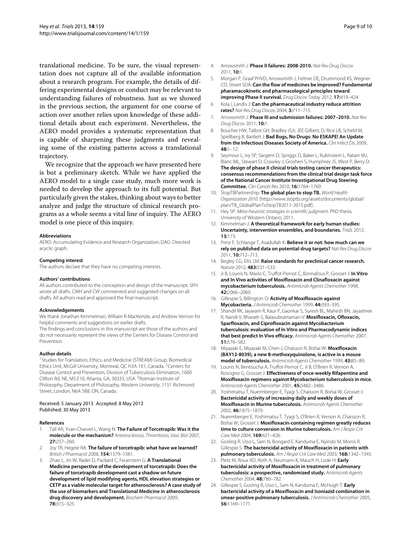translational medicine. To be sure, the visual representation does not capture all of the available information about a research program. For example, the details of differing experimental designs or conduct may be relevant to understanding failures of robustness. Just as we showed in the previous section, the argument for one course of action over another relies upon knowledge of these additional details about each experiment. Nevertheless, the AERO model provides a systematic representation that is capable of sharpening these judgments and revealing some of the existing patterns across a translational trajectory.

We recognize that the approach we have presented here is but a preliminary sketch. While we have applied the AERO model to a single case study, much more work is needed to develop the approach to its full potential. But particularly given the stakes, thinking about ways to better analyze and judge the structure of clinical research programs as a whole seems a vital line of inquiry. The AERO model is one piece of this inquiry.

#### **Abbreviations**

AERO: Accumulating Evidence and Research Organization; DAG: Directed acyclic graph.

#### **Competing interest**

The authors declare that they have no competing interests.

#### **Authors' contributions**

All authors contributed to the conception and design of the manuscript. SPH wrote all drafts. CMH and CW commented and suggested changes on all drafts. All authors read and approved the final manuscript.

#### **Acknowledgements**

We thank Jonathan Kimmelman, William R MacKenzie, and Andrew Vernon for helpful comments and suggestions on earlier drafts.

The findings and conclusions in this manuscript are those of the authors and do not necessarily represent the views of the Centers for Disease Control and Prevention.

#### **Author details**

<sup>1</sup> Studies for Translation, Ethics, and Medicine (STREAM) Group, Biomedical Ethics Unit, McGill University, Montreal, QC H3A 1X1, Canada. <sup>2</sup> Centers for Disease Control and Prevention, Division of Tuberculosis Elimination, 1600 Clifton Rd, NE, MS E10, Atlanta, GA, 30333, USA. <sup>3</sup> Rotman Institute of Philosophy, Department of Philosophy, Western University, 1151 Richmond Street, London, N6A 5B8, ON, Canada.

#### Received: 5 January 2013 Accepted: 8 May 2013 Published: 30 May 2013

#### **References**

- <span id="page-8-0"></span>1. Tall AR, Yvan-Charvet L, Wang N: **The Failure of Torcetrapib: Was it the molecule or the mechanism?** Arteriosclerosis, Thrombosis, Vasc Biol 2007, **27:**257–260.
- 2. Joy TR, Hegele RA: **The failure of torcetrapib: what have we learned?** British J Pharmacol 2008, **154:**1379–1381.
- <span id="page-8-1"></span>3. Zhao L, Jin W, Rader D, Packard C, Feuerstein G: **A Translational Medicine perspective of the development of torcetrapib: Does the failure of torcetrapib development cast a shadow on future development of lipid modifying agents, HDL elevation strategies or CETP as a viable molecular target for atherosclerosis? A case study of the use of biomarkers and Translational Medicine in atherosclerosis drug discovery and development.** Biochem Pharmacol 2009, **78:**315–325.
- <span id="page-8-2"></span>4. Arrowsmith J: **Phase II failures: 2008-2010.** Nat Rev Drug Discov 2011, **10:**1.
- <span id="page-8-3"></span>5. Morgan P, Graaf PHVD, Arrowsmith J, Feltner DE, Drummond KS, Wegner CD, Street SDA: **Can the flow of medicines be improved? Fundamental pharamacokinetic and pharmacological principles toward improving Phase II survival.** Drug Discov Today 2012, **17:**419–424.
- <span id="page-8-4"></span>6. Kola I, Landis J: **Can the pharmaceutical industry reduce attrition rates?** Nat Rev Drug Discov 2004, **3:**711–715.
- <span id="page-8-5"></span>7. Arrowsmith J: **Phase III and submission failures: 2007–2010.** Nat Rev Drug Discov 2011, **10:**1.
- <span id="page-8-6"></span>8. Boucher HW, Talbot GH, Bradley JSJr, JEE Gilbert. D. Rice LB. Scheld M. Spellberg B, Bartlett J: **Bad Bugs, No Drugs: No ESKAPE! An Update from the Infectious Diseases Society of America.** Clin Infect Dis 2009, **48:**1–12.
- 9. Seymour L, Ivy SP, Sargent D, Spriggs D, Baker L, Rubinstein L, Ratain MJ, Blanc ML, Stewart D, Crowley J, Groshen S, Humphrey JS, West P, Berry D: **The design of phase II clinical trials testing cancer therapeutics: consensus recommendations from the clinical trial design task force of the National Cancer Institute Investigational Drug Steering Committee.** Clin Cancer Res 2010, **16:**1764–1769.
- <span id="page-8-7"></span>10. StopTBPartnership: **The global plan to stop TB.** World Health Organization 2010. [\[http://www.stoptb.org/assets/documents/global/](http://www.stoptb.org/assets/documents/global/plan/TB_GlobalPlanToStopTB2011-2015.pdf) plan/TB\_GlobalPlanToStopTB2011-2015.pdfl
- <span id="page-8-8"></span>11. Hey SP: Meta-heuristic strategies in scientific judgment. PhD thesis. University of Western Ontario; 2011.
- <span id="page-8-9"></span>12. Kimmelman J: **A theoretical framework for early human studies: Uncertainty, intervention ensembles, and boundaries.** Trials 2012, **13:**173.
- <span id="page-8-10"></span>13. Prinz F, Schlange T, Asadullah K: **Believe it or not: how much can we rely on published data on potential drug targets?** Nat Rev Drug Discov 2011, **10:**712–713.
- <span id="page-8-11"></span>14. Begley CG, Ellis LM: **Raise standards for preclinical cancer research.** Nature 2012, **483:**531–533.
- <span id="page-8-12"></span>15. Ji B, Lounis N, Maslo C, Truffot-Pernot C, Bonnafous P, Grosset J: **In Vitro and In Vivo activities of Moxifloxacin and Clinafloxacin against mycobacterium tuberculosis.** Antimicrob Agents Chemother 1998, **42:**2066–2069.
- <span id="page-8-13"></span>16. Gillespie S, Billington O: **Activity of Moxifloxacin against Mycobacteria.** J Antimicrob Chemother 1999, **44:**393–395.
- <span id="page-8-14"></span>17. Shandil RK, Jayaram R, Kaur P, Gaonkar S, Suresh BL, Mahesh BN, Jayashree R, Nandi V, Bharath S, Balasubramanian V: **Moxifloxacin, Ofloxacin, Sparfloxacin, and Ciprofloxacin against Mycobacterium tuberculosis: evaluation of In Vitro and Pharmacodynamic indices that best predict In Vivo efficacy.** Antimicrob Agents Chemother 2007, **51:**576–582.
- <span id="page-8-15"></span>18. Miyazaki E, Miyazaki M, Chen J, Chaisson R, Bishai W: **Moxifloxacin (BAY12-8039), a new 8-methoxyquinolone, is active in a mouse model of tuberculosis.** Antimicrob Agents Chemother 1999, **43:**85–89.
- <span id="page-8-16"></span>19. Lounis N, Bentoucha A, Truffot-Pernot C, Ji B, O'Brien R, Vernon A, Roscigno G, Grosset J: **Effectiveness of once-weekly Rifapentine and Moxifloxacin regimens against Mycobacterium tuberculosis in mice.** Antimicrob Agents Chemother 2001, **45:**3482–3486.
- <span id="page-8-17"></span>20. Yoshimatsu T, Nuermberger E, Tyagi S, Chaisson R, Bishai W, Grosset J: **Bactericidal activity of increasing daily and weekly doses of Moxifloxacin in Murine tuberculosis.** Antimicrob Agents Chemother 2002, **46:**1875–1879.
- <span id="page-8-18"></span>21. Nuermberger E, Yoshimatsu T, Tyagi S, O'Brien R, Vernon A, Chaisson R, Bishai W, Grosset J: **Moxifloxacin-containing regimen greatly reduces time to culture conversion in Murine tuberculosis.** Am J Respir Crit Care Med 2004, **169:**421–426.
- <span id="page-8-19"></span>22. Gosling R, Uiso L, Sam N, Bongard E, Kanduma E, Nyindo M, Morris R, Gillespie S: **The bactericidal activity of Moxifloxacin in patients with pulmonary tuberculosis.** Am J Respir Crit Care Med 2003, **168:**1342–1345.
- <span id="page-8-20"></span>23. Pletz M, Roux AD, Roth A, Neumann K, Mauch H, Lode H: **Early bactericidal activity of Moxifloxacin in treatment of pulmonary tuberculosis: a prospective, randomized study.** Antimicrob Agents Chemother 2004, **48:**780–782.
- <span id="page-8-21"></span>24. Gillespie S, Gosling R, Uiso L, Sam N, Kanduma E, McHugh T: **Early bactericidal activity of a Moxifloxacin and Isoniazid combination in smear-positive pulmonary tuberculosis.** J Antimicrob Chemother 2005, **56:**1169–1171.